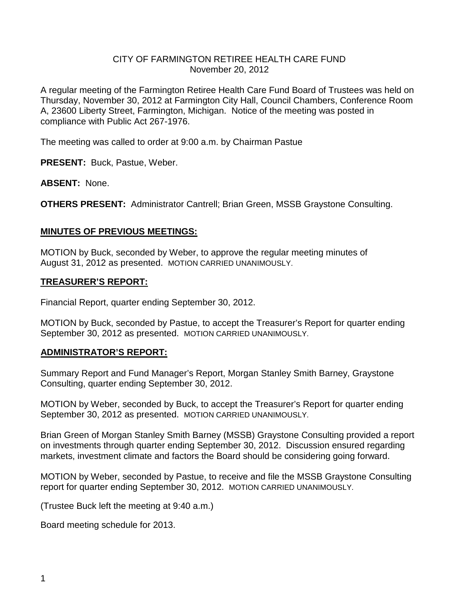### CITY OF FARMINGTON RETIREE HEALTH CARE FUND November 20, 2012

A regular meeting of the Farmington Retiree Health Care Fund Board of Trustees was held on Thursday, November 30, 2012 at Farmington City Hall, Council Chambers, Conference Room A, 23600 Liberty Street, Farmington, Michigan. Notice of the meeting was posted in compliance with Public Act 267-1976.

The meeting was called to order at 9:00 a.m. by Chairman Pastue

**PRESENT:** Buck, Pastue, Weber.

**ABSENT:** None.

**OTHERS PRESENT:** Administrator Cantrell; Brian Green, MSSB Graystone Consulting.

### **MINUTES OF PREVIOUS MEETINGS:**

MOTION by Buck, seconded by Weber, to approve the regular meeting minutes of August 31, 2012 as presented. MOTION CARRIED UNANIMOUSLY.

### **TREASURER'S REPORT:**

Financial Report, quarter ending September 30, 2012.

MOTION by Buck, seconded by Pastue, to accept the Treasurer's Report for quarter ending September 30, 2012 as presented. MOTION CARRIED UNANIMOUSLY.

### **ADMINISTRATOR'S REPORT:**

Summary Report and Fund Manager's Report, Morgan Stanley Smith Barney, Graystone Consulting, quarter ending September 30, 2012.

MOTION by Weber, seconded by Buck, to accept the Treasurer's Report for quarter ending September 30, 2012 as presented. MOTION CARRIED UNANIMOUSLY.

Brian Green of Morgan Stanley Smith Barney (MSSB) Graystone Consulting provided a report on investments through quarter ending September 30, 2012. Discussion ensured regarding markets, investment climate and factors the Board should be considering going forward.

MOTION by Weber, seconded by Pastue, to receive and file the MSSB Graystone Consulting report for quarter ending September 30, 2012. MOTION CARRIED UNANIMOUSLY.

(Trustee Buck left the meeting at 9:40 a.m.)

Board meeting schedule for 2013.